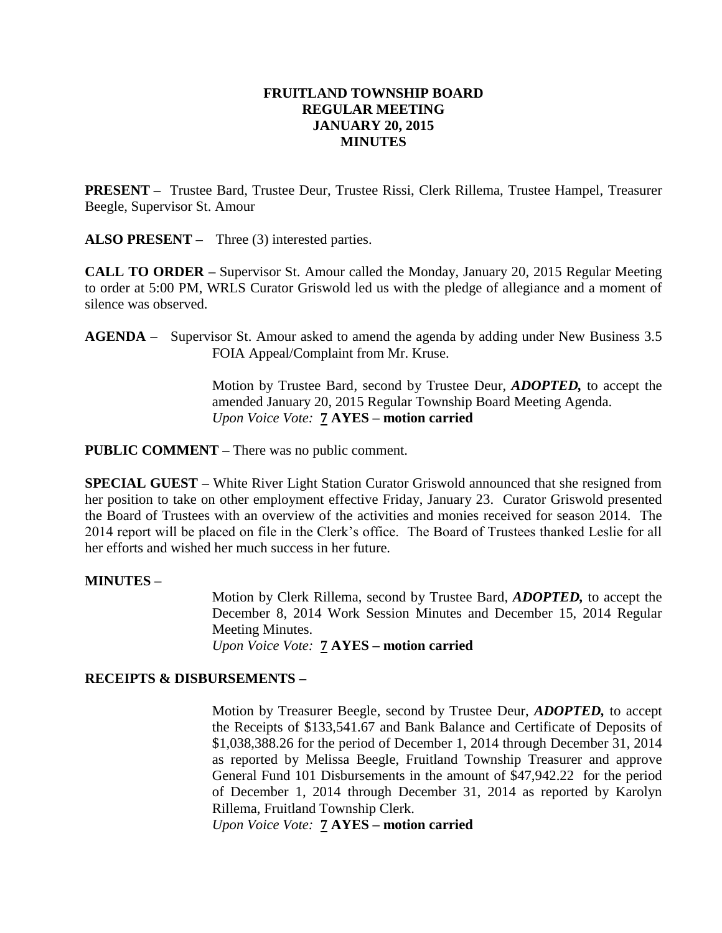### **FRUITLAND TOWNSHIP BOARD REGULAR MEETING JANUARY 20, 2015 MINUTES**

**PRESENT –** Trustee Bard, Trustee Deur, Trustee Rissi, Clerk Rillema, Trustee Hampel, Treasurer Beegle, Supervisor St. Amour

**ALSO PRESENT –** Three (3) interested parties.

**CALL TO ORDER –** Supervisor St. Amour called the Monday, January 20, 2015 Regular Meeting to order at 5:00 PM, WRLS Curator Griswold led us with the pledge of allegiance and a moment of silence was observed.

**AGENDA** – Supervisor St. Amour asked to amend the agenda by adding under New Business 3.5 FOIA Appeal/Complaint from Mr. Kruse.

> Motion by Trustee Bard, second by Trustee Deur, *ADOPTED,* to accept the amended January 20, 2015 Regular Township Board Meeting Agenda. *Upon Voice Vote:* **7 AYES – motion carried**

**PUBLIC COMMENT –** There was no public comment.

**SPECIAL GUEST –** White River Light Station Curator Griswold announced that she resigned from her position to take on other employment effective Friday, January 23. Curator Griswold presented the Board of Trustees with an overview of the activities and monies received for season 2014. The 2014 report will be placed on file in the Clerk's office. The Board of Trustees thanked Leslie for all her efforts and wished her much success in her future.

#### **MINUTES –**

Motion by Clerk Rillema, second by Trustee Bard, *ADOPTED,* to accept the December 8, 2014 Work Session Minutes and December 15, 2014 Regular Meeting Minutes. *Upon Voice Vote:* **7 AYES – motion carried**

#### **RECEIPTS & DISBURSEMENTS –**

Motion by Treasurer Beegle, second by Trustee Deur, *ADOPTED,* to accept the Receipts of \$133,541.67 and Bank Balance and Certificate of Deposits of \$1,038,388.26 for the period of December 1, 2014 through December 31, 2014 as reported by Melissa Beegle, Fruitland Township Treasurer and approve General Fund 101 Disbursements in the amount of \$47,942.22 for the period of December 1, 2014 through December 31, 2014 as reported by Karolyn Rillema, Fruitland Township Clerk.

*Upon Voice Vote:* **7 AYES – motion carried**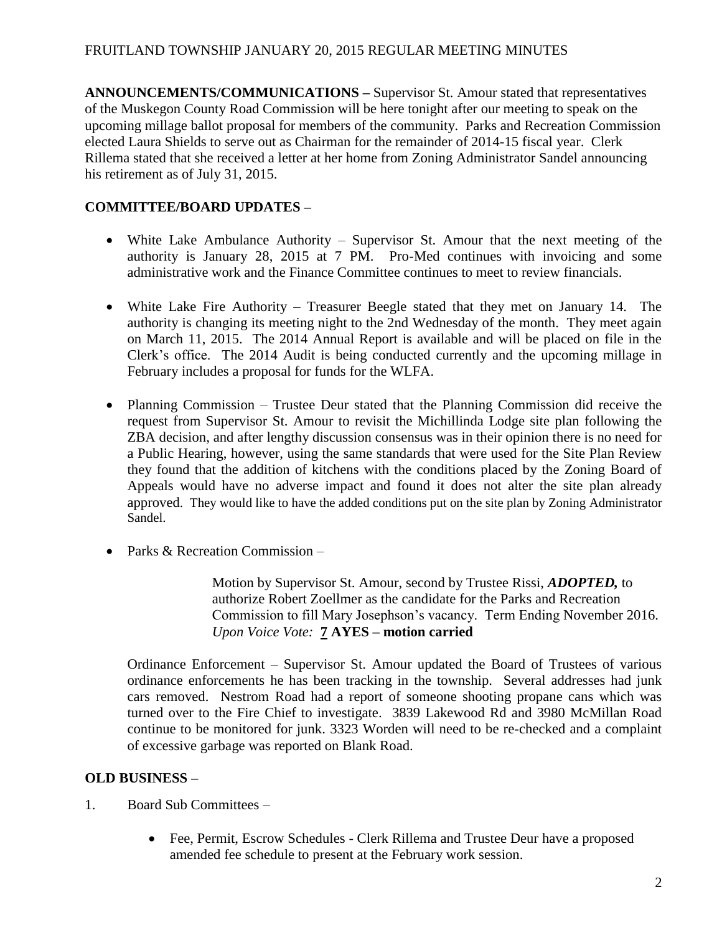**ANNOUNCEMENTS/COMMUNICATIONS –** Supervisor St. Amour stated that representatives of the Muskegon County Road Commission will be here tonight after our meeting to speak on the upcoming millage ballot proposal for members of the community. Parks and Recreation Commission elected Laura Shields to serve out as Chairman for the remainder of 2014-15 fiscal year. Clerk Rillema stated that she received a letter at her home from Zoning Administrator Sandel announcing his retirement as of July 31, 2015.

# **COMMITTEE/BOARD UPDATES –**

- White Lake Ambulance Authority Supervisor St. Amour that the next meeting of the authority is January 28, 2015 at 7 PM. Pro-Med continues with invoicing and some administrative work and the Finance Committee continues to meet to review financials.
- White Lake Fire Authority Treasurer Beegle stated that they met on January 14. The authority is changing its meeting night to the 2nd Wednesday of the month. They meet again on March 11, 2015. The 2014 Annual Report is available and will be placed on file in the Clerk's office. The 2014 Audit is being conducted currently and the upcoming millage in February includes a proposal for funds for the WLFA.
- Planning Commission Trustee Deur stated that the Planning Commission did receive the request from Supervisor St. Amour to revisit the Michillinda Lodge site plan following the ZBA decision, and after lengthy discussion consensus was in their opinion there is no need for a Public Hearing, however, using the same standards that were used for the Site Plan Review they found that the addition of kitchens with the conditions placed by the Zoning Board of Appeals would have no adverse impact and found it does not alter the site plan already approved. They would like to have the added conditions put on the site plan by Zoning Administrator Sandel.
- Parks & Recreation Commission –

Motion by Supervisor St. Amour, second by Trustee Rissi, *ADOPTED,* to authorize Robert Zoellmer as the candidate for the Parks and Recreation Commission to fill Mary Josephson's vacancy. Term Ending November 2016. *Upon Voice Vote:* **7 AYES – motion carried**

Ordinance Enforcement – Supervisor St. Amour updated the Board of Trustees of various ordinance enforcements he has been tracking in the township. Several addresses had junk cars removed. Nestrom Road had a report of someone shooting propane cans which was turned over to the Fire Chief to investigate. 3839 Lakewood Rd and 3980 McMillan Road continue to be monitored for junk. 3323 Worden will need to be re-checked and a complaint of excessive garbage was reported on Blank Road.

# **OLD BUSINESS –**

- 1. Board Sub Committees
	- Fee, Permit, Escrow Schedules Clerk Rillema and Trustee Deur have a proposed amended fee schedule to present at the February work session.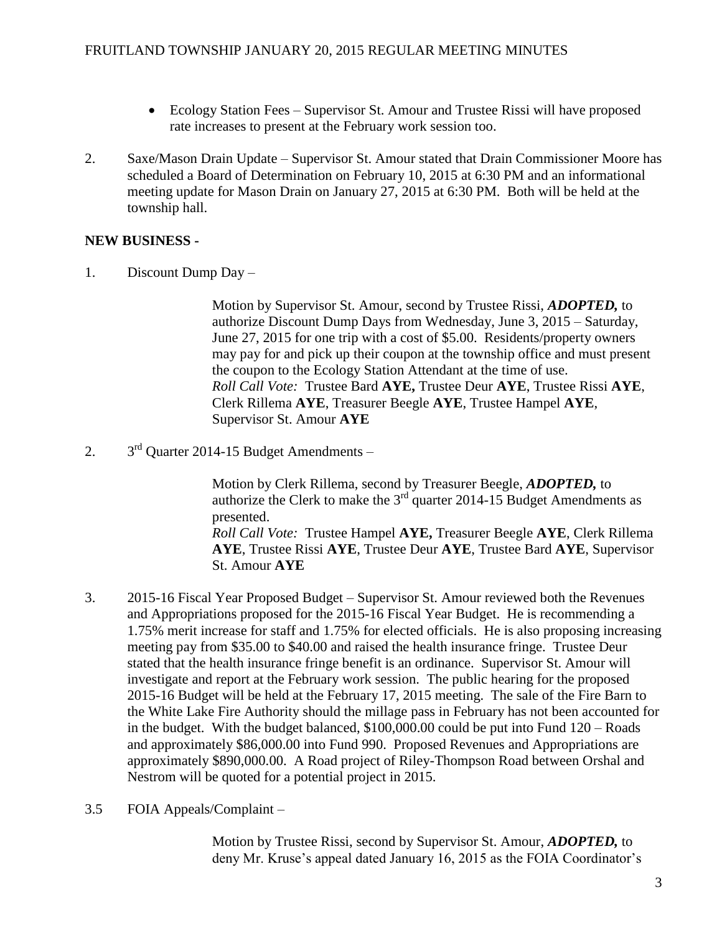- Ecology Station Fees Supervisor St. Amour and Trustee Rissi will have proposed rate increases to present at the February work session too.
- 2. Saxe/Mason Drain Update Supervisor St. Amour stated that Drain Commissioner Moore has scheduled a Board of Determination on February 10, 2015 at 6:30 PM and an informational meeting update for Mason Drain on January 27, 2015 at 6:30 PM. Both will be held at the township hall.

## **NEW BUSINESS -**

1. Discount Dump Day –

Motion by Supervisor St. Amour, second by Trustee Rissi, *ADOPTED,* to authorize Discount Dump Days from Wednesday, June 3, 2015 – Saturday, June 27, 2015 for one trip with a cost of \$5.00. Residents/property owners may pay for and pick up their coupon at the township office and must present the coupon to the Ecology Station Attendant at the time of use. *Roll Call Vote:* Trustee Bard **AYE,** Trustee Deur **AYE**, Trustee Rissi **AYE**, Clerk Rillema **AYE**, Treasurer Beegle **AYE**, Trustee Hampel **AYE**, Supervisor St. Amour **AYE**

 $2<sub>1</sub>$  $3<sup>rd</sup>$  Ouarter 2014-15 Budget Amendments –

> Motion by Clerk Rillema, second by Treasurer Beegle, *ADOPTED,* to authorize the Clerk to make the  $3<sup>rd</sup>$  quarter 2014-15 Budget Amendments as presented. *Roll Call Vote:* Trustee Hampel **AYE,** Treasurer Beegle **AYE**, Clerk Rillema **AYE**, Trustee Rissi **AYE**, Trustee Deur **AYE**, Trustee Bard **AYE**, Supervisor St. Amour **AYE**

- 3. 2015-16 Fiscal Year Proposed Budget Supervisor St. Amour reviewed both the Revenues and Appropriations proposed for the 2015-16 Fiscal Year Budget. He is recommending a 1.75% merit increase for staff and 1.75% for elected officials. He is also proposing increasing meeting pay from \$35.00 to \$40.00 and raised the health insurance fringe. Trustee Deur stated that the health insurance fringe benefit is an ordinance. Supervisor St. Amour will investigate and report at the February work session. The public hearing for the proposed 2015-16 Budget will be held at the February 17, 2015 meeting. The sale of the Fire Barn to the White Lake Fire Authority should the millage pass in February has not been accounted for in the budget. With the budget balanced, \$100,000.00 could be put into Fund 120 – Roads and approximately \$86,000.00 into Fund 990. Proposed Revenues and Appropriations are approximately \$890,000.00. A Road project of Riley-Thompson Road between Orshal and Nestrom will be quoted for a potential project in 2015.
- 3.5 FOIA Appeals/Complaint –

Motion by Trustee Rissi, second by Supervisor St. Amour, *ADOPTED,* to deny Mr. Kruse's appeal dated January 16, 2015 as the FOIA Coordinator's